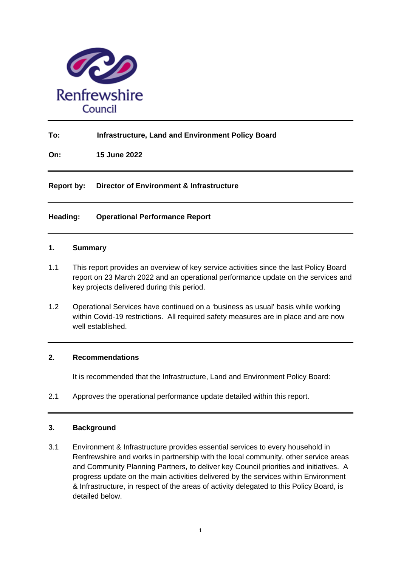

# **To: Infrastructure, Land and Environment Policy Board**

**On: 15 June 2022**

**Report by: Director of Environment & Infrastructure**

## **Heading: Operational Performance Report**

### **1. Summary**

- 1.1 This report provides an overview of key service activities since the last Policy Board report on 23 March 2022 and an operational performance update on the services and key projects delivered during this period.
- 1.2 Operational Services have continued on a 'business as usual' basis while working within Covid-19 restrictions. All required safety measures are in place and are now well established.

## **2. Recommendations**

It is recommended that the Infrastructure, Land and Environment Policy Board:

2.1 Approves the operational performance update detailed within this report.

### **3. Background**

3.1 Environment & Infrastructure provides essential services to every household in Renfrewshire and works in partnership with the local community, other service areas and Community Planning Partners, to deliver key Council priorities and initiatives. A progress update on the main activities delivered by the services within Environment & Infrastructure, in respect of the areas of activity delegated to this Policy Board, is detailed below.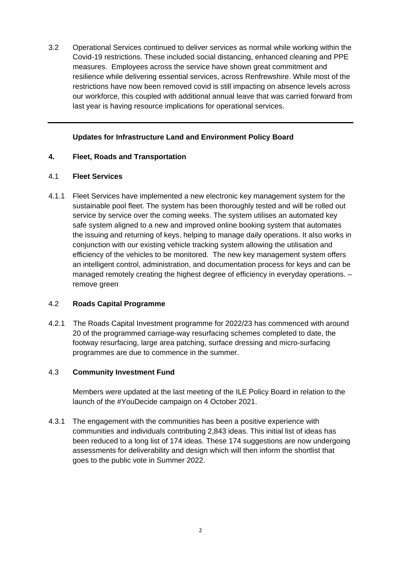3.2 Operational Services continued to deliver services as normal while working within the Covid-19 restrictions. These included social distancing, enhanced cleaning and PPE measures. Employees across the service have shown great commitment and resilience while delivering essential services, across Renfrewshire. While most of the restrictions have now been removed covid is still impacting on absence levels across our workforce, this coupled with additional annual leave that was carried forward from last year is having resource implications for operational services.

## **Updates for Infrastructure Land and Environment Policy Board**

### **4. Fleet, Roads and Transportation**

### 4.1 **Fleet Services**

4.1.1 Fleet Services have implemented a new electronic key management system for the sustainable pool fleet. The system has been thoroughly tested and will be rolled out service by service over the coming weeks. The system utilises an automated key safe system aligned to a new and improved online booking system that automates the issuing and returning of keys, helping to manage daily operations. It also works in conjunction with our existing vehicle tracking system allowing the utilisation and efficiency of the vehicles to be monitored. The new key management system offers an intelligent control, administration, and documentation process for keys and can be managed remotely creating the highest degree of efficiency in everyday operations. – remove green

### 4.2 **Roads Capital Programme**

4.2.1 The Roads Capital Investment programme for 2022/23 has commenced with around 20 of the programmed carriage-way resurfacing schemes completed to date, the footway resurfacing, large area patching, surface dressing and micro-surfacing programmes are due to commence in the summer.

### 4.3 **Community Investment Fund**

Members were updated at the last meeting of the ILE Policy Board in relation to the launch of the #YouDecide campaign on 4 October 2021.

4.3.1 The engagement with the communities has been a positive experience with communities and individuals contributing 2,843 ideas. This initial list of ideas has been reduced to a long list of 174 ideas. These 174 suggestions are now undergoing assessments for deliverability and design which will then inform the shortlist that goes to the public vote in Summer 2022.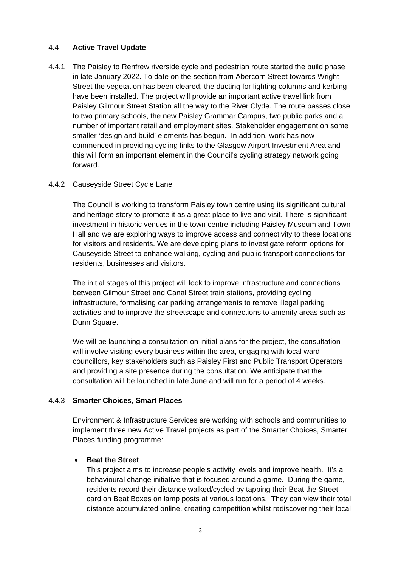### 4.4 **Active Travel Update**

4.4.1 The Paisley to Renfrew riverside cycle and pedestrian route started the build phase in late January 2022. To date on the section from Abercorn Street towards Wright Street the vegetation has been cleared, the ducting for lighting columns and kerbing have been installed. The project will provide an important active travel link from Paisley Gilmour Street Station all the way to the River Clyde. The route passes close to two primary schools, the new Paisley Grammar Campus, two public parks and a number of important retail and employment sites. Stakeholder engagement on some smaller 'design and build' elements has begun. In addition, work has now commenced in providing cycling links to the Glasgow Airport Investment Area and this will form an important element in the Council's cycling strategy network going forward.

## 4.4.2 Causeyside Street Cycle Lane

The Council is working to transform Paisley town centre using its significant cultural and heritage story to promote it as a great place to live and visit. There is significant investment in historic venues in the town centre including Paisley Museum and Town Hall and we are exploring ways to improve access and connectivity to these locations for visitors and residents. We are developing plans to investigate reform options for Causeyside Street to enhance walking, cycling and public transport connections for residents, businesses and visitors.

The initial stages of this project will look to improve infrastructure and connections between Gilmour Street and Canal Street train stations, providing cycling infrastructure, formalising car parking arrangements to remove illegal parking activities and to improve the streetscape and connections to amenity areas such as Dunn Square.

We will be launching a consultation on initial plans for the project, the consultation will involve visiting every business within the area, engaging with local ward councillors, key stakeholders such as Paisley First and Public Transport Operators and providing a site presence during the consultation. We anticipate that the consultation will be launched in late June and will run for a period of 4 weeks.

# 4.4.3 **Smarter Choices, Smart Places**

Environment & Infrastructure Services are working with schools and communities to implement three new Active Travel projects as part of the Smarter Choices, Smarter Places funding programme:

### • **Beat the Street**

This project aims to increase people's activity levels and improve health. It's a behavioural change initiative that is focused around a game. During the game, residents record their distance walked/cycled by tapping their Beat the Street card on Beat Boxes on lamp posts at various locations. They can view their total distance accumulated online, creating competition whilst rediscovering their local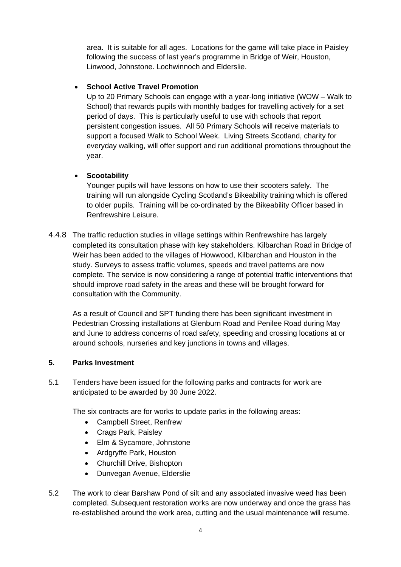area. It is suitable for all ages. Locations for the game will take place in Paisley following the success of last year's programme in Bridge of Weir, Houston, Linwood, Johnstone. Lochwinnoch and Elderslie.

# • **School Active Travel Promotion**

Up to 20 Primary Schools can engage with a year-long initiative (WOW – Walk to School) that rewards pupils with monthly badges for travelling actively for a set period of days. This is particularly useful to use with schools that report persistent congestion issues. All 50 Primary Schools will receive materials to support a focused Walk to School Week. Living Streets Scotland, charity for everyday walking, will offer support and run additional promotions throughout the year.

## • **Scootability**

Younger pupils will have lessons on how to use their scooters safely. The training will run alongside Cycling Scotland's Bikeability training which is offered to older pupils. Training will be co-ordinated by the Bikeability Officer based in Renfrewshire Leisure.

4.4.8 The traffic reduction studies in village settings within Renfrewshire has largely completed its consultation phase with key stakeholders. Kilbarchan Road in Bridge of Weir has been added to the villages of Howwood, Kilbarchan and Houston in the study. Surveys to assess traffic volumes, speeds and travel patterns are now complete. The service is now considering a range of potential traffic interventions that should improve road safety in the areas and these will be brought forward for consultation with the Community.

As a result of Council and SPT funding there has been significant investment in Pedestrian Crossing installations at Glenburn Road and Penilee Road during May and June to address concerns of road safety, speeding and crossing locations at or around schools, nurseries and key junctions in towns and villages.

### **5. Parks Investment**

5.1 Tenders have been issued for the following parks and contracts for work are anticipated to be awarded by 30 June 2022.

The six contracts are for works to update parks in the following areas:

- Campbell Street, Renfrew
- Crags Park, Paisley
- Elm & Sycamore, Johnstone
- Ardgryffe Park, Houston
- Churchill Drive, Bishopton
- Dunvegan Avenue, Elderslie
- 5.2 The work to clear Barshaw Pond of silt and any associated invasive weed has been completed. Subsequent restoration works are now underway and once the grass has re-established around the work area, cutting and the usual maintenance will resume.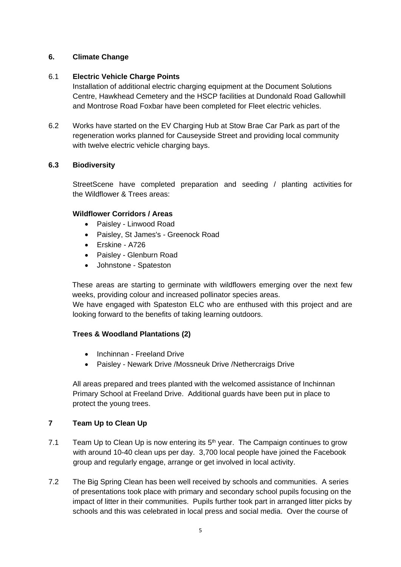## **6. Climate Change**

## 6.1 **Electric Vehicle Charge Points**

Installation of additional electric charging equipment at the Document Solutions Centre, Hawkhead Cemetery and the HSCP facilities at Dundonald Road Gallowhill and Montrose Road Foxbar have been completed for Fleet electric vehicles.

6.2 Works have started on the EV Charging Hub at Stow Brae Car Park as part of the regeneration works planned for Causeyside Street and providing local community with twelve electric vehicle charging bays.

## **6.3 Biodiversity**

StreetScene have completed preparation and seeding / planting activities for the Wildflower & Trees areas:

## **Wildflower Corridors / Areas**

- Paisley Linwood Road
- Paisley, St James's Greenock Road
- Erskine A726
- Paisley Glenburn Road
- Johnstone Spateston

These areas are starting to germinate with wildflowers emerging over the next few weeks, providing colour and increased pollinator species areas.

We have engaged with Spateston ELC who are enthused with this project and are looking forward to the benefits of taking learning outdoors.

### **Trees & Woodland Plantations (2)**

- Inchinnan Freeland Drive
- Paisley Newark Drive /Mossneuk Drive /Nethercraigs Drive

All areas prepared and trees planted with the welcomed assistance of Inchinnan Primary School at Freeland Drive. Additional guards have been put in place to protect the young trees.

# **7 Team Up to Clean Up**

- 7.1 Team Up to Clean Up is now entering its  $5<sup>th</sup>$  year. The Campaign continues to grow with around 10-40 clean ups per day. 3,700 local people have joined the Facebook group and regularly engage, arrange or get involved in local activity.
- 7.2 The Big Spring Clean has been well received by schools and communities. A series of presentations took place with primary and secondary school pupils focusing on the impact of litter in their communities. Pupils further took part in arranged litter picks by schools and this was celebrated in local press and social media. Over the course of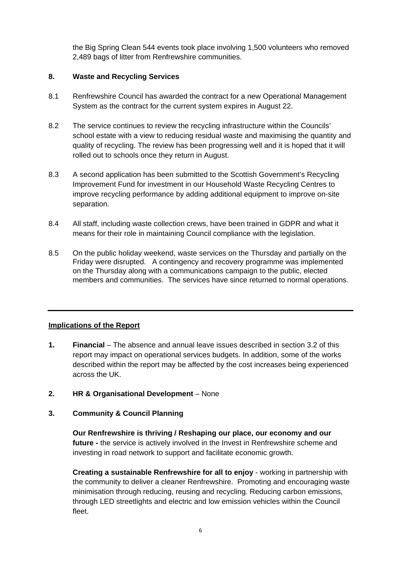the Big Spring Clean 544 events took place involving 1,500 volunteers who removed 2,489 bags of litter from Renfrewshire communities.

## **8. Waste and Recycling Services**

- 8.1 Renfrewshire Council has awarded the contract for a new Operational Management System as the contract for the current system expires in August 22.
- 8.2 The service continues to review the recycling infrastructure within the Councils' school estate with a view to reducing residual waste and maximising the quantity and quality of recycling. The review has been progressing well and it is hoped that it will rolled out to schools once they return in August.
- 8.3 A second application has been submitted to the Scottish Government's Recycling Improvement Fund for investment in our Household Waste Recycling Centres to improve recycling performance by adding additional equipment to improve on-site separation.
- 8.4 All staff, including waste collection crews, have been trained in GDPR and what it means for their role in maintaining Council compliance with the legislation.
- 8.5 On the public holiday weekend, waste services on the Thursday and partially on the Friday were disrupted. A contingency and recovery programme was implemented on the Thursday along with a communications campaign to the public, elected members and communities. The services have since returned to normal operations.

# **Implications of the Report**

- **1. Financial** The absence and annual leave issues described in section 3.2 of this report may impact on operational services budgets. In addition, some of the works described within the report may be affected by the cost increases being experienced across the UK.
- **2. HR & Organisational Development** None

### **3. Community & Council Planning**

**Our Renfrewshire is thriving / Reshaping our place, our economy and our future -** the service is actively involved in the Invest in Renfrewshire scheme and investing in road network to support and facilitate economic growth.

**Creating a sustainable Renfrewshire for all to enjoy** - working in partnership with the community to deliver a cleaner Renfrewshire. Promoting and encouraging waste minimisation through reducing, reusing and recycling*.* Reducing carbon emissions, through LED streetlights and electric and low emission vehicles within the Council fleet.